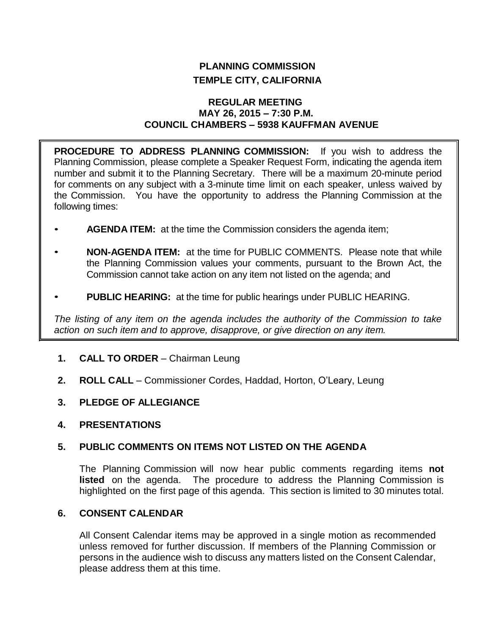# **PLANNING COMMISSION TEMPLE CITY, CALIFORNIA**

## **REGULAR MEETING MAY 26, 2015 – 7:30 P.M. COUNCIL CHAMBERS – 5938 KAUFFMAN AVENUE**

**PROCEDURE TO ADDRESS PLANNING COMMISSION:** If you wish to address the Planning Commission, please complete a Speaker Request Form, indicating the agenda item number and submit it to the Planning Secretary. There will be a maximum 20-minute period for comments on any subject with a 3-minute time limit on each speaker, unless waived by the Commission. You have the opportunity to address the Planning Commission at the following times:

- **AGENDA ITEM:** at the time the Commission considers the agenda item;
- **NON-AGENDA ITEM:** at the time for PUBLIC COMMENTS. Please note that while the Planning Commission values your comments, pursuant to the Brown Act, the Commission cannot take action on any item not listed on the agenda; and
- **PUBLIC HEARING:** at the time for public hearings under PUBLIC HEARING.

*The listing of any item on the agenda includes the authority of the Commission to take action on such item and to approve, disapprove, or give direction on any item.*

- **1. CALL TO ORDER**  Chairman Leung
- **2. ROLL CALL**  Commissioner Cordes, Haddad, Horton, O'Leary, Leung
- **3. PLEDGE OF ALLEGIANCE**
- **4. PRESENTATIONS**

# **5. PUBLIC COMMENTS ON ITEMS NOT LISTED ON THE AGENDA**

The Planning Commission will now hear public comments regarding items **not listed** on the agenda. The procedure to address the Planning Commission is highlighted on the first page of this agenda. This section is limited to 30 minutes total.

# **6. CONSENT CALENDAR**

All Consent Calendar items may be approved in a single motion as recommended unless removed for further discussion. If members of the Planning Commission or persons in the audience wish to discuss any matters listed on the Consent Calendar, please address them at this time.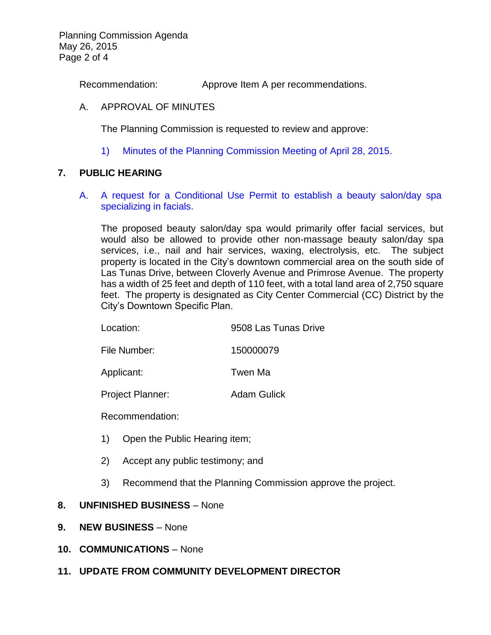Planning Commission Agenda May 26, 2015 Page 2 of 4

Recommendation: Approve Item A per recommendations.

## A. APPROVAL OF MINUTES

The Planning Commission is requested to review and approve:

1) Minutes of the [Planning Commission Meeting](http://ca-templecity.civicplus.com/DocumentCenter/View/3643) of April 28, 2015.

## **7. PUBLIC HEARING**

A. [A request for a Conditional Use Permit to establish a beauty salon/day spa](http://ca-templecity.civicplus.com/DocumentCenter/View/3642)  [specializing in facials.](http://ca-templecity.civicplus.com/DocumentCenter/View/3642)

The proposed beauty salon/day spa would primarily offer facial services, but would also be allowed to provide other non-massage beauty salon/day spa services, i.e., nail and hair services, waxing, electrolysis, etc. The subject property is located in the City's downtown commercial area on the south side of Las Tunas Drive, between Cloverly Avenue and Primrose Avenue. The property has a width of 25 feet and depth of 110 feet, with a total land area of 2,750 square feet. The property is designated as City Center Commercial (CC) District by the City's Downtown Specific Plan.

File Number: 150000079

Applicant: Twen Ma

Project Planner: Adam Gulick

Recommendation:

- 1) Open the Public Hearing item;
- 2) Accept any public testimony; and
- 3) Recommend that the Planning Commission approve the project.

#### **8. UNFINISHED BUSINESS** – None

- **9. NEW BUSINESS** None
- **10. COMMUNICATIONS** None

# **11. UPDATE FROM COMMUNITY DEVELOPMENT DIRECTOR**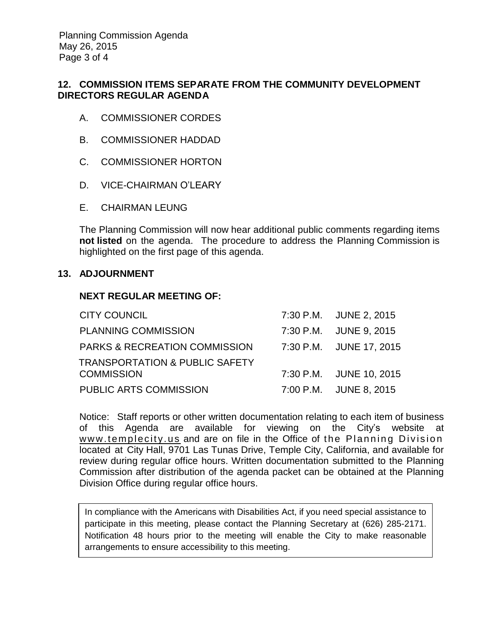Planning Commission Agenda May 26, 2015 Page 3 of 4

# **12. COMMISSION ITEMS SEPARATE FROM THE COMMUNITY DEVELOPMENT DIRECTORS REGULAR AGENDA**

- A. COMMISSIONER CORDES
- B. COMMISSIONER HADDAD
- C. COMMISSIONER HORTON
- D. VICE-CHAIRMAN O'LEARY
- E. CHAIRMAN LEUNG

The Planning Commission will now hear additional public comments regarding items **not listed** on the agenda. The procedure to address the Planning Commission is highlighted on the first page of this agenda.

#### **13. ADJOURNMENT**

## **NEXT REGULAR MEETING OF:**

| <b>CITY COUNCIL</b>                       | 7:30 P.M. JUNE 2, 2015  |
|-------------------------------------------|-------------------------|
| <b>PLANNING COMMISSION</b>                | 7:30 P.M. JUNE 9, 2015  |
| PARKS & RECREATION COMMISSION             | 7:30 P.M. JUNE 17, 2015 |
| <b>TRANSPORTATION &amp; PUBLIC SAFETY</b> |                         |
| <b>COMMISSION</b>                         | 7:30 P.M. JUNE 10, 2015 |
| PUBLIC ARTS COMMISSION                    | 7:00 P.M. JUNE 8, 2015  |

Notice: Staff reports or other written documentation relating to each item of business of this Agenda are available for viewing on the City's website at www.templecity.us and are on file in the Office of the Planning Division located at City Hall, 9701 Las Tunas Drive, Temple City, California, and available for review during regular office hours. Written documentation submitted to the Planning Commission after distribution of the agenda packet can be obtained at the Planning Division Office during regular office hours.

In compliance with the Americans with Disabilities Act, if you need special assistance to participate in this meeting, please contact the Planning Secretary at (626) 285-2171. Notification 48 hours prior to the meeting will enable the City to make reasonable arrangements to ensure accessibility to this meeting.